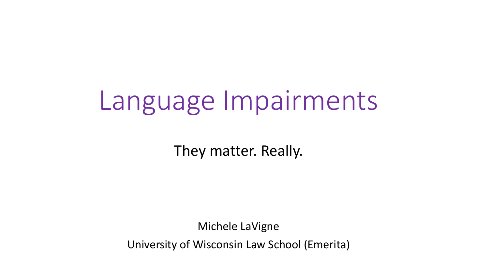# Language Impairments

They matter. Really.

Michele LaVigne University of Wisconsin Law School (Emerita)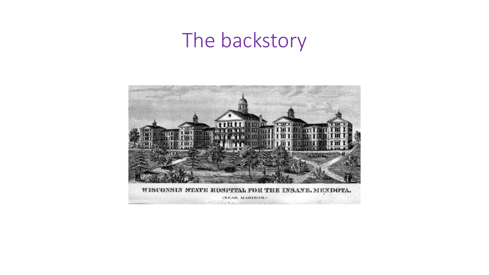#### The backstory

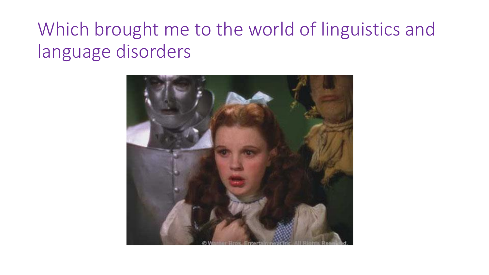#### Which brought me to the world of linguistics and language disorders

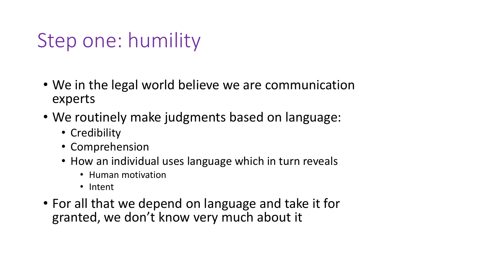### Step one: humility

- We in the legal world believe we are communication experts
- We routinely make judgments based on language:
	- Credibility
	- Comprehension
	- How an individual uses language which in turn reveals
		- Human motivation
		- Intent
- For all that we depend on language and take it for granted, we don't know very much about it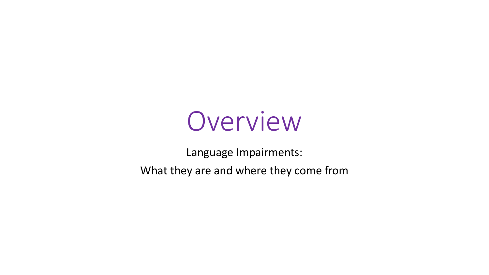

Language Impairments: What they are and where they come from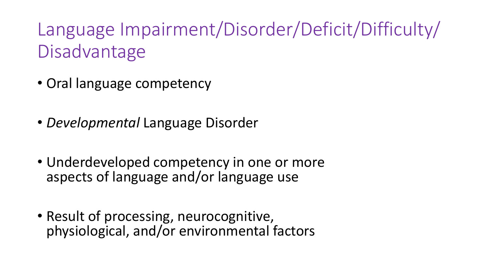Language Impairment/Disorder/Deficit/Difficulty/ **Disadvantage** 

- Oral language competency
- *Developmental* Language Disorder
- Underdeveloped competency in one or more aspects of language and/or language use
- Result of processing, neurocognitive, physiological, and/or environmental factors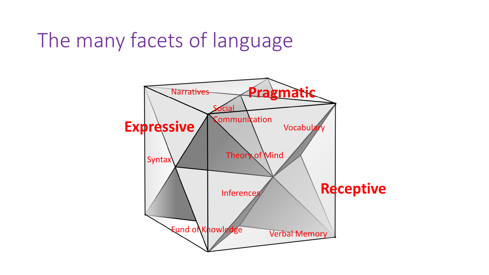### The many facets of language

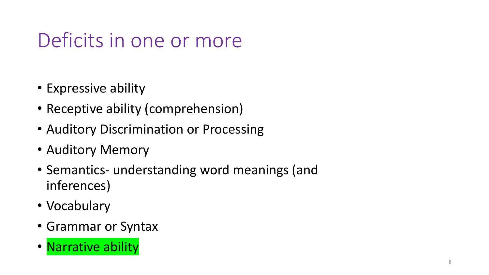### Deficits in one or more

- Expressive ability
- Receptive ability (comprehension)
- Auditory Discrimination or Processing
- Auditory Memory
- Semantics- understanding word meanings (and inferences)
- Vocabulary
- Grammar or Syntax
- Narrative ability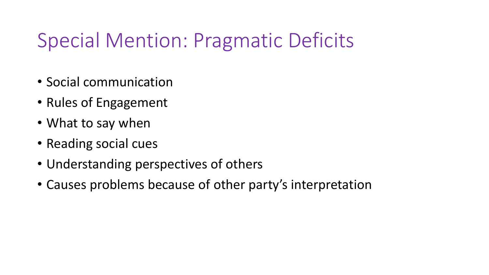### Special Mention: Pragmatic Deficits

- Social communication
- Rules of Engagement
- What to say when
- Reading social cues
- Understanding perspectives of others
- Causes problems because of other party's interpretation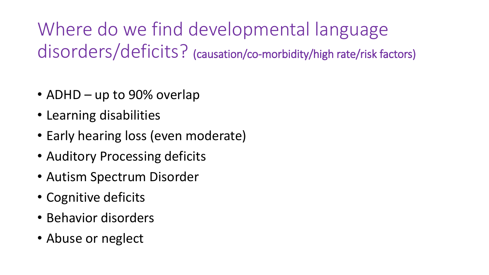Where do we find developmental language disorders/deficits? (causation/co-morbidity/high rate/risk factors)

- ADHD up to 90% overlap
- Learning disabilities
- Early hearing loss (even moderate)
- Auditory Processing deficits
- Autism Spectrum Disorder
- Cognitive deficits
- Behavior disorders
- Abuse or neglect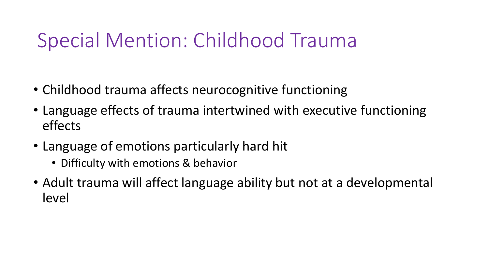#### Special Mention: Childhood Trauma

- Childhood trauma affects neurocognitive functioning
- Language effects of trauma intertwined with executive functioning effects
- Language of emotions particularly hard hit
	- Difficulty with emotions & behavior
- Adult trauma will affect language ability but not at a developmental level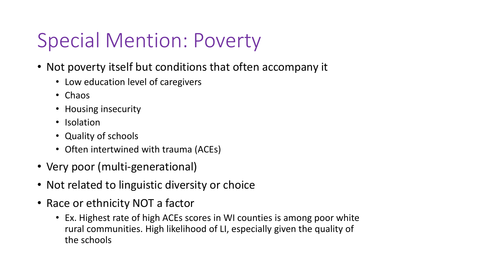### Special Mention: Poverty

- Not poverty itself but conditions that often accompany it
	- Low education level of caregivers
	- Chaos
	- Housing insecurity
	- Isolation
	- Quality of schools
	- Often intertwined with trauma (ACEs)
- Very poor (multi-generational)
- Not related to linguistic diversity or choice
- Race or ethnicity NOT a factor
	- Ex. Highest rate of high ACEs scores in WI counties is among poor white rural communities. High likelihood of LI, especially given the quality of the schools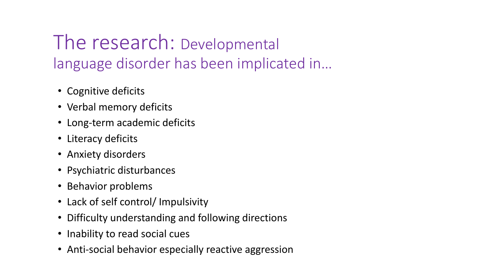#### The research: Developmental language disorder has been implicated in…

- Cognitive deficits
- Verbal memory deficits
- Long-term academic deficits
- Literacy deficits
- Anxiety disorders
- Psychiatric disturbances
- Behavior problems
- Lack of self control/ Impulsivity
- Difficulty understanding and following directions
- Inability to read social cues
- Anti-social behavior especially reactive aggression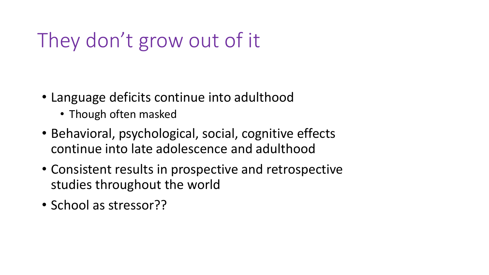### They don't grow out of it

- Language deficits continue into adulthood
	- Though often masked
- Behavioral, psychological, social, cognitive effects continue into late adolescence and adulthood
- Consistent results in prospective and retrospective studies throughout the world
- School as stressor??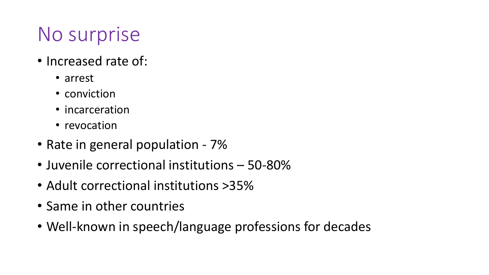### No surprise

- Increased rate of:
	- arrest
	- conviction
	- incarceration
	- revocation
- Rate in general population 7%
- Juvenile correctional institutions 50-80%
- Adult correctional institutions >35%
- Same in other countries
- Well-known in speech/language professions for decades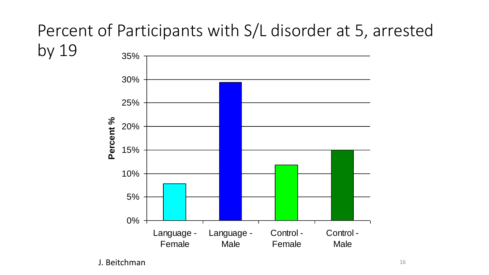#### Percent of Participants with S/L disorder at 5, arrested by 19 35%

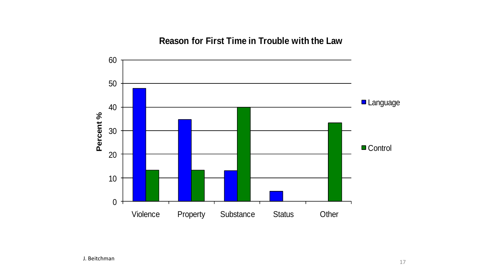**Reason for First Time in Trouble with the Law**

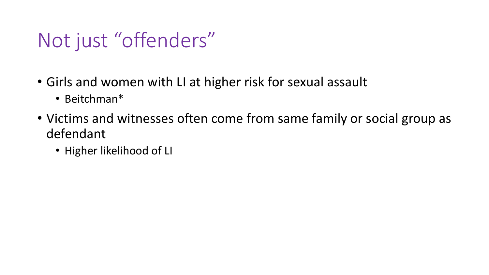#### Not just "offenders"

- Girls and women with LI at higher risk for sexual assault
	- Beitchman\*
- Victims and witnesses often come from same family or social group as defendant
	- Higher likelihood of LI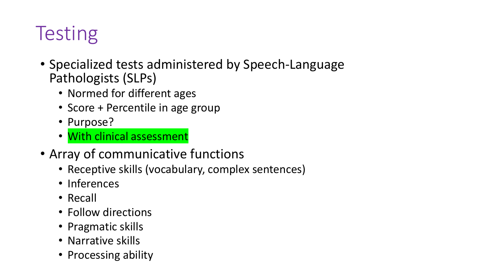### **Testing**

- Specialized tests administered by Speech-Language Pathologists (SLPs)
	- Normed for different ages
	- Score + Percentile in age group
	- Purpose?
	- With clinical assessment
- Array of communicative functions
	- Receptive skills (vocabulary, complex sentences)
	- Inferences
	- Recall
	- Follow directions
	- Pragmatic skills
	- Narrative skills
	- Processing ability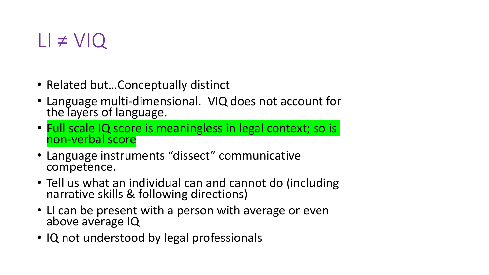#### $LI \neq VIQ$

- Related but...Conceptually distinct
- Language multi-dimensional. VIQ does not account for the layers of language.
- Full scale IQ score is meaningless in legal context; so is non-verbal score
- Language instruments "dissect" communicative competence.
- Tell us what an individual can and cannot do (including narrative skills & following directions)
- LI can be present with a person with average or even above average IQ
- IQ not understood by legal professionals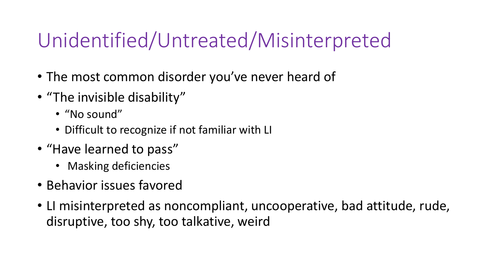### Unidentified/Untreated/Misinterpreted

- The most common disorder you've never heard of
- "The invisible disability"
	- "No sound"
	- Difficult to recognize if not familiar with LI
- "Have learned to pass"
	- Masking deficiencies
- Behavior issues favored
- LI misinterpreted as noncompliant, uncooperative, bad attitude, rude, disruptive, too shy, too talkative, weird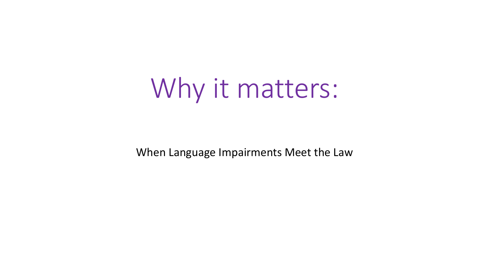# Why it matters:

When Language Impairments Meet the Law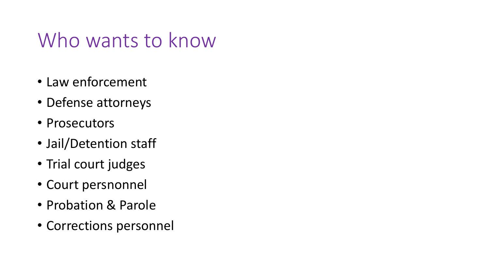#### Who wants to know

- Law enforcement
- Defense attorneys
- Prosecutors
- Jail/Detention staff
- Trial court judges
- Court persnonnel
- Probation & Parole
- Corrections personnel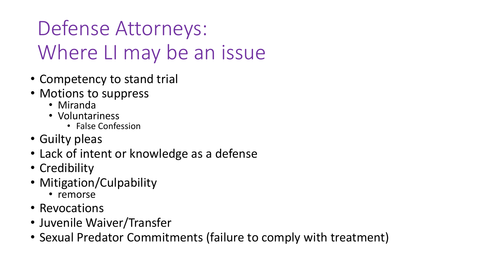### Defense Attorneys: Where LI may be an issue

- Competency to stand trial
- Motions to suppress
	- Miranda
	- Voluntariness
		- False Confession
- Guilty pleas
- Lack of intent or knowledge as a defense
- Credibility
- Mitigation/Culpability
	- remorse
- Revocations
- Juvenile Waiver/Transfer
- Sexual Predator Commitments (failure to comply with treatment)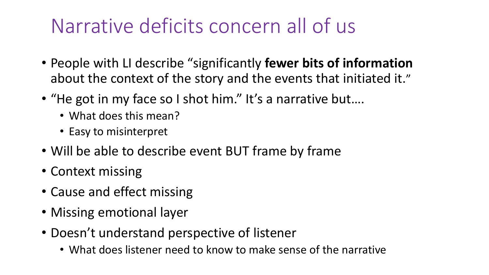### Narrative deficits concern all of us

- People with LI describe "significantly **fewer bits of information**  about the context of the story and the events that initiated it."
- "He got in my face so I shot him." It's a narrative but....
	- What does this mean?
	- Easy to misinterpret
- Will be able to describe event BUT frame by frame
- Context missing
- Cause and effect missing
- Missing emotional layer
- Doesn't understand perspective of listener
	- What does listener need to know to make sense of the narrative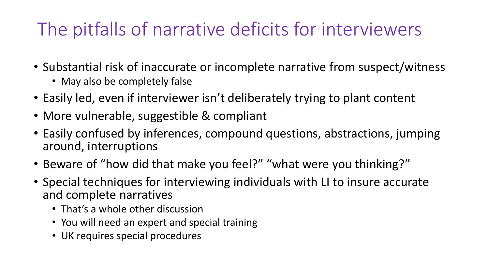#### The pitfalls of narrative deficits for interviewers

- Substantial risk of inaccurate or incomplete narrative from suspect/witness
	- May also be completely false
- Easily led, even if interviewer isn't deliberately trying to plant content
- More vulnerable, suggestible & compliant
- Easily confused by inferences, compound questions, abstractions, jumping around, interruptions
- Beware of "how did that make you feel?" "what were you thinking?"
- Special techniques for interviewing individuals with LI to insure accurate and complete narratives
	- That's a whole other discussion
	- You will need an expert and special training
	- UK requires special procedures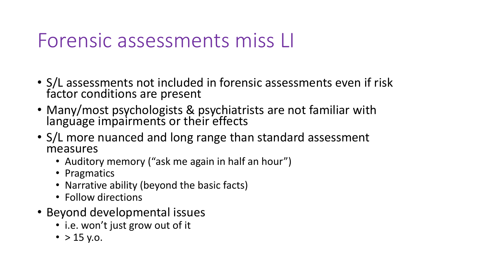#### Forensic assessments miss LI

- S/L assessments not included in forensic assessments even if risk factor conditions are present
- Many/most psychologists & psychiatrists are not familiar with language impairments or their effects
- S/L more nuanced and long range than standard assessment measures
	- Auditory memory ("ask me again in half an hour")
	- Pragmatics
	- Narrative ability (beyond the basic facts)
	- Follow directions
- Beyond developmental issues
	- i.e. won't just grow out of it
	- $> 15$  y.o.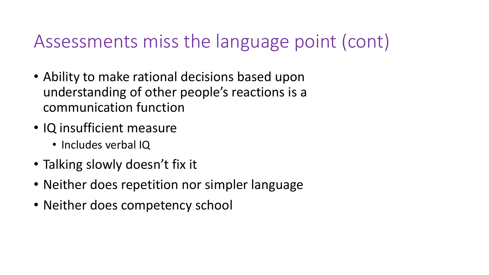#### Assessments miss the language point (cont)

- Ability to make rational decisions based upon understanding of other people's reactions is a communication function
- IQ insufficient measure
	- Includes verbal IQ
- Talking slowly doesn't fix it
- Neither does repetition nor simpler language
- Neither does competency school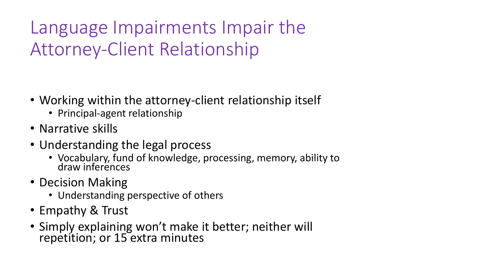Language Impairments Impair the Attorney-Client Relationship

- Working within the attorney-client relationship itself
	- Principal-agent relationship
- Narrative skills
- Understanding the legal process
	- Vocabulary, fund of knowledge, processing, memory, ability to draw inferences
- Decision Making
	- Understanding perspective of others
- Empathy & Trust
- Simply explaining won't make it better; neither will repetition; or 15 extra minutes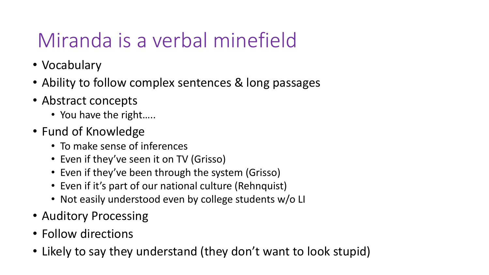### Miranda is a verbal minefield

- Vocabulary
- Ability to follow complex sentences & long passages
- Abstract concepts
	- You have the right.....
- Fund of Knowledge
	- To make sense of inferences
	- Even if they've seen it on TV (Grisso)
	- Even if they've been through the system (Grisso)
	- Even if it's part of our national culture (Rehnquist)
	- Not easily understood even by college students w/o LI
- Auditory Processing
- Follow directions
- Likely to say they understand (they don't want to look stupid)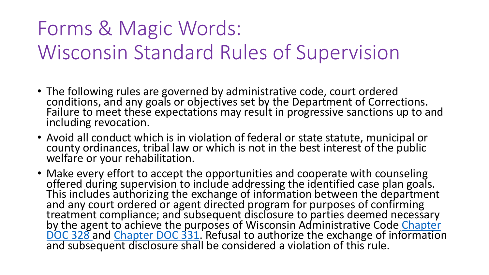### Forms & Magic Words: Wisconsin Standard Rules of Supervision

- The following rules are governed by administrative code, court ordered conditions, and any goals or objectives set by the Department of Corrections. Failure to meet these expectations may result in progressive sanctions up to and including revocation.
- Avoid all conduct which is in violation of federal or state statute, municipal or county ordinances, tribal law or which is not in the best interest of the public welfare or your rehabilitation.
- Make every effort to accept the opportunities and cooperate with counseling offered during supervision to include addressing the identified case plan goals. This includes authorizing the exchange of information between the department and any court ordered or agent directed program for purposes of confirming treatment compliance; and subsequent disclosure to parties deemed necessary by the agent to achieve the purposes of Wisconsin Administrative Code Chapter [DOC 328 and Chapter DOC 331. Refusal to authorize the exchange of information](https://docs.legis.wisconsin.gov/code/admin_code/doc/328) and subsequent disclosure shall be considered a violation of this rule.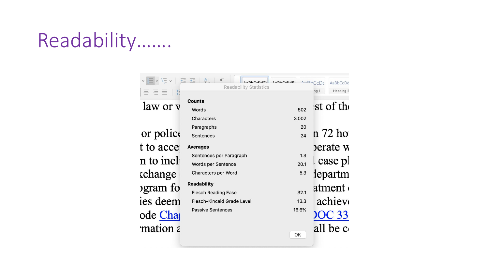### Readability…….

|                      | $A \cap B \cap C \cap A \nabla$<br>Readability Statistics | $A \cap D h C \cap A E$<br>$A \cap D h$ | AaBbCcDd<br>CDC                |
|----------------------|-----------------------------------------------------------|-----------------------------------------|--------------------------------|
| 言言言事<br>law or y     | <b>Counts</b>                                             |                                         | Heading 2<br>ng 1<br>st of the |
|                      | Words                                                     | 502                                     |                                |
|                      | Characters                                                | 3,002                                   |                                |
| or police            | Paragraphs                                                | 20                                      | n 72 ho                        |
|                      | Sentences                                                 | 24                                      |                                |
| to acce              | <b>Averages</b>                                           |                                         | berate w                       |
| n to incli           | Sentences per Paragraph                                   | 1.3                                     |                                |
|                      | Words per Sentence                                        | 20.1                                    | case pl                        |
| change               | Characters per Word                                       | 5.3                                     | departm                        |
| gram fo              | <b>Readability</b>                                        |                                         | atment (                       |
|                      | <b>Flesch Reading Ease</b>                                | 32.1                                    |                                |
| es deem              | <b>Flesch-Kincaid Grade Level</b>                         | 13.3                                    | achiev                         |
| ode Cha <sub>l</sub> | <b>Passive Sentences</b>                                  | 16.6%                                   | <b>OC 33</b>                   |
| mation a             |                                                           | OK                                      | all be co                      |
|                      |                                                           |                                         |                                |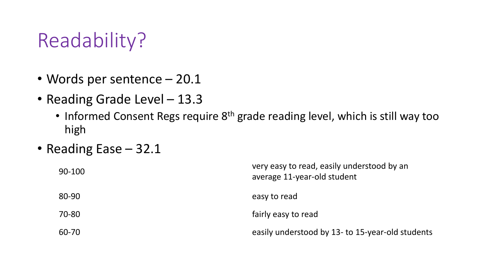#### Readability?

- Words per sentence 20.1
- Reading Grade Level 13.3
	- Informed Consent Regs require 8<sup>th</sup> grade reading level, which is still way too high
- Reading Ease 32.1

| 90-100 | very easy to read, easily understood by an<br>average 11-year-old student |
|--------|---------------------------------------------------------------------------|
| 80-90  | easy to read                                                              |
| 70-80  | fairly easy to read                                                       |
| 60-70  | easily understood by 13- to 15-year-old students                          |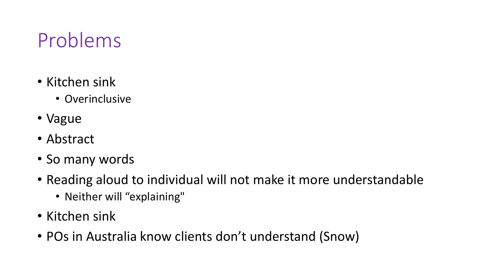### Problems

- Kitchen sink
	- Overinclusive
- Vague
- Abstract
- So many words
- Reading aloud to individual will not make it more understandable
	- Neither will "explaining"
- Kitchen sink
- POs in Australia know clients don't understand (Snow)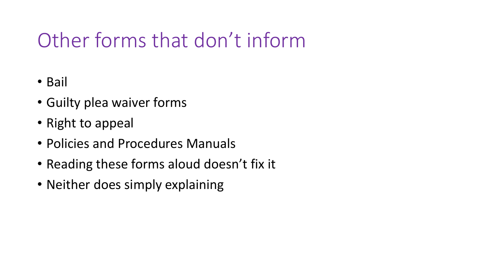### Other forms that don't inform

- Bail
- Guilty plea waiver forms
- Right to appeal
- Policies and Procedures Manuals
- Reading these forms aloud doesn't fix it
- Neither does simply explaining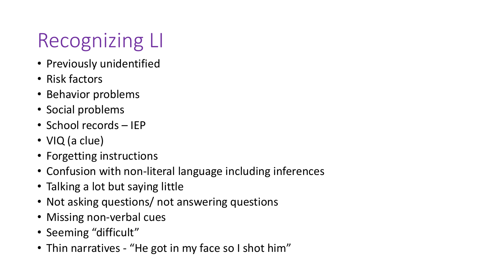## Recognizing LI

- Previously unidentified
- Risk factors
- Behavior problems
- Social problems
- School records IEP
- VIQ (a clue)
- Forgetting instructions
- Confusion with non-literal language including inferences
- Talking a lot but saying little
- Not asking questions/ not answering questions
- Missing non-verbal cues
- Seeming "difficult"
- Thin narratives "He got in my face so I shot him"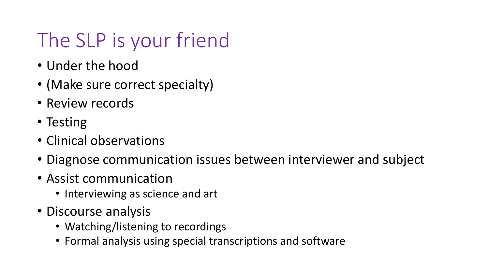### The SLP is your friend

- Under the hood
- (Make sure correct specialty)
- Review records
- Testing
- Clinical observations
- Diagnose communication issues between interviewer and subject
- Assist communication
	- Interviewing as science and art
- Discourse analysis
	- Watching/listening to recordings
	- Formal analysis using special transcriptions and software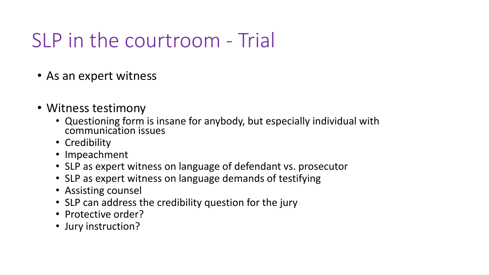### SLP in the courtroom - Trial

- As an expert witness
- Witness testimony
	- Questioning form is insane for anybody, but especially individual with communication issues
	- Credibility
	- Impeachment
	- SLP as expert witness on language of defendant vs. prosecutor
	- SLP as expert witness on language demands of testifying
	- Assisting counsel
	- SLP can address the credibility question for the jury
	- Protective order?
	- Jury instruction?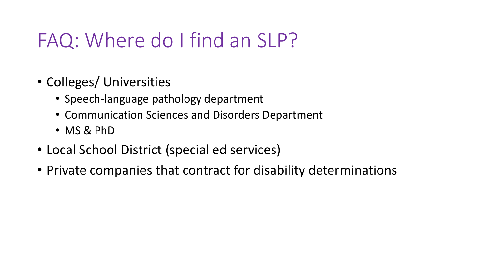#### FAQ: Where do I find an SLP?

- Colleges/ Universities
	- Speech-language pathology department
	- Communication Sciences and Disorders Department
	- MS & PhD
- Local School District (special ed services)
- Private companies that contract for disability determinations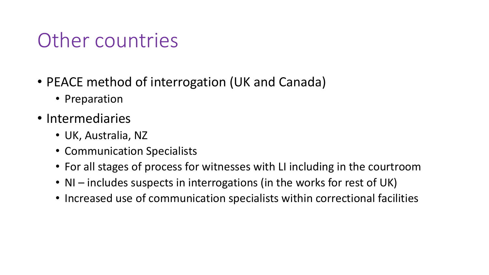#### Other countries

- PEACE method of interrogation (UK and Canada)
	- Preparation
- Intermediaries
	- UK, Australia, NZ
	- Communication Specialists
	- For all stages of process for witnesses with LI including in the courtroom
	- NI includes suspects in interrogations (in the works for rest of UK)
	- Increased use of communication specialists within correctional facilities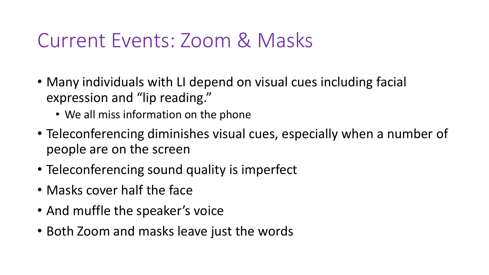#### Current Events: Zoom & Masks

- Many individuals with LI depend on visual cues including facial expression and "lip reading."
	- We all miss information on the phone
- Teleconferencing diminishes visual cues, especially when a number of people are on the screen
- Teleconferencing sound quality is imperfect
- Masks cover half the face
- And muffle the speaker's voice
- Both Zoom and masks leave just the words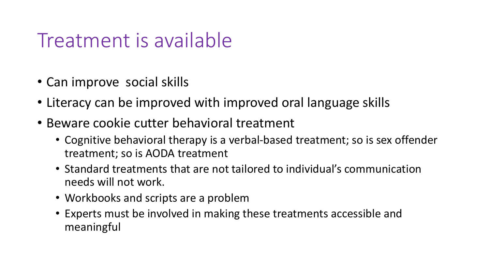#### Treatment is available

- Can improve social skills
- Literacy can be improved with improved oral language skills
- Beware cookie cutter behavioral treatment
	- Cognitive behavioral therapy is a verbal-based treatment; so is sex offender treatment; so is AODA treatment
	- Standard treatments that are not tailored to individual's communication needs will not work.
	- Workbooks and scripts are a problem
	- Experts must be involved in making these treatments accessible and meaningful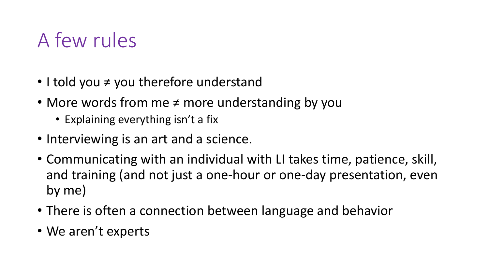### A few rules

- I told you ≠ you therefore understand
- More words from me ≠ more understanding by you
	- Explaining everything isn't a fix
- Interviewing is an art and a science.
- Communicating with an individual with LI takes time, patience, skill, and training (and not just a one-hour or one-day presentation, even by me)
- There is often a connection between language and behavior
- We aren't experts